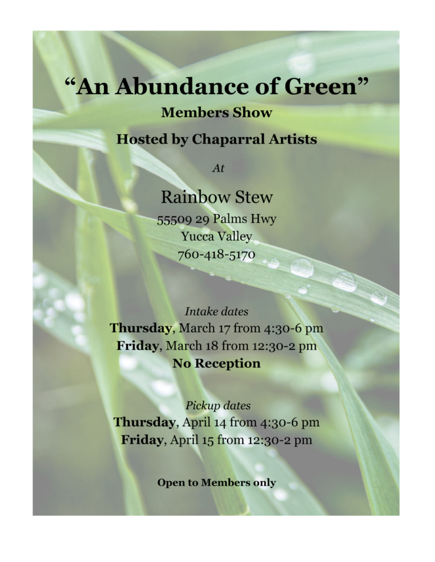## "An Abundance of Green"

**Members Show** 

**Hosted by Chaparral Artists** 

 $At$ 

**Rainbow Stew** 55509 29 Palms Hwy **Yucca Valley** 760-418-5170

**Intake dates** Thursday, March 17 from 4:30-6 pm Friday, March 18 from 12:30-2 pm **No Reception** 

Pickup dates Thursday, April 14 from 4:30-6 pm Friday, April 15 from 12:30-2 pm

**Open to Members only**